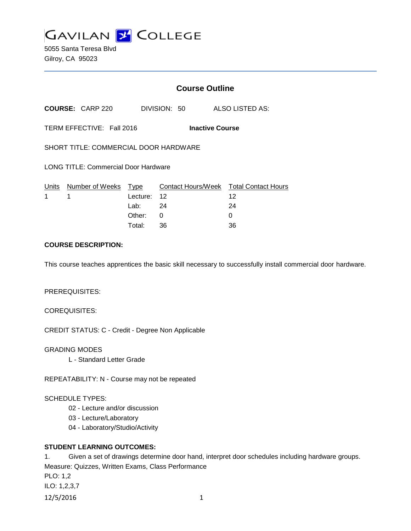

5055 Santa Teresa Blvd Gilroy, CA 95023

# **Course Outline**

**COURSE:** CARP 220 DIVISION: 50 ALSO LISTED AS:

TERM EFFECTIVE: Fall 2016 **Inactive Course**

SHORT TITLE: COMMERCIAL DOOR HARDWARE

LONG TITLE: Commercial Door Hardware

|             |             | Units Number of Weeks Type Contact Hours/Week Total Contact Hours |    |
|-------------|-------------|-------------------------------------------------------------------|----|
| $1 \quad 1$ | Lecture: 12 |                                                                   | 12 |
|             | Lab: 24     |                                                                   | 24 |
|             | Other: 0    |                                                                   |    |
|             | Total:      | -36                                                               | 36 |

## **COURSE DESCRIPTION:**

This course teaches apprentices the basic skill necessary to successfully install commercial door hardware.

#### PREREQUISITES:

COREQUISITES:

CREDIT STATUS: C - Credit - Degree Non Applicable

GRADING MODES

L - Standard Letter Grade

REPEATABILITY: N - Course may not be repeated

### SCHEDULE TYPES:

- 02 Lecture and/or discussion
- 03 Lecture/Laboratory
- 04 Laboratory/Studio/Activity

## **STUDENT LEARNING OUTCOMES:**

1. Given a set of drawings determine door hand, interpret door schedules including hardware groups. Measure: Quizzes, Written Exams, Class Performance PLO: 1,2 ILO: 1,2,3,7 12/5/2016 1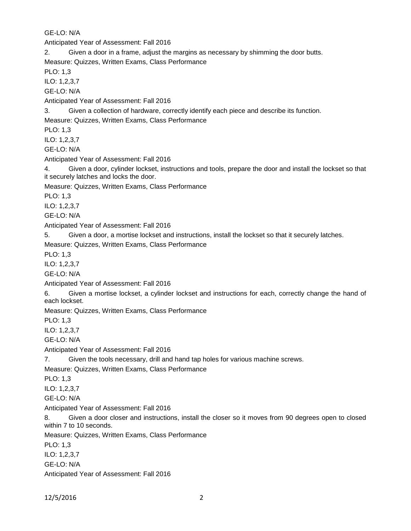GE-LO: N/A

Anticipated Year of Assessment: Fall 2016

2. Given a door in a frame, adjust the margins as necessary by shimming the door butts.

Measure: Quizzes, Written Exams, Class Performance

PLO: 1,3

ILO: 1,2,3,7

GE-LO: N/A

Anticipated Year of Assessment: Fall 2016

3. Given a collection of hardware, correctly identify each piece and describe its function.

Measure: Quizzes, Written Exams, Class Performance

PLO: 1,3

ILO: 1,2,3,7

GE-LO: N/A

Anticipated Year of Assessment: Fall 2016

4. Given a door, cylinder lockset, instructions and tools, prepare the door and install the lockset so that it securely latches and locks the door.

Measure: Quizzes, Written Exams, Class Performance

PLO: 1,3

ILO: 1,2,3,7

GE-LO: N/A

Anticipated Year of Assessment: Fall 2016

5. Given a door, a mortise lockset and instructions, install the lockset so that it securely latches.

Measure: Quizzes, Written Exams, Class Performance

PLO: 1,3

ILO: 1,2,3,7

GE-LO: N/A

Anticipated Year of Assessment: Fall 2016

6. Given a mortise lockset, a cylinder lockset and instructions for each, correctly change the hand of each lockset.

Measure: Quizzes, Written Exams, Class Performance

PLO: 1,3

ILO: 1,2,3,7

GE-LO: N/A

Anticipated Year of Assessment: Fall 2016

7. Given the tools necessary, drill and hand tap holes for various machine screws.

Measure: Quizzes, Written Exams, Class Performance

PLO: 1,3

ILO: 1,2,3,7

GE-LO: N/A

Anticipated Year of Assessment: Fall 2016

8. Given a door closer and instructions, install the closer so it moves from 90 degrees open to closed within 7 to 10 seconds.

Measure: Quizzes, Written Exams, Class Performance

PLO: 1,3

ILO: 1,2,3,7

GE-LO: N/A

Anticipated Year of Assessment: Fall 2016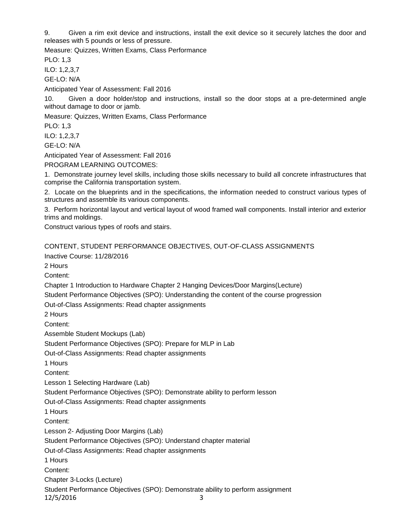9. Given a rim exit device and instructions, install the exit device so it securely latches the door and releases with 5 pounds or less of pressure.

Measure: Quizzes, Written Exams, Class Performance

PLO: 1,3

ILO: 1,2,3,7

GE-LO: N/A

Anticipated Year of Assessment: Fall 2016

10. Given a door holder/stop and instructions, install so the door stops at a pre-determined angle without damage to door or jamb.

Measure: Quizzes, Written Exams, Class Performance

PLO: 1,3

ILO: 1,2,3,7

GE-LO: N/A

Anticipated Year of Assessment: Fall 2016

PROGRAM LEARNING OUTCOMES:

1. Demonstrate journey level skills, including those skills necessary to build all concrete infrastructures that comprise the California transportation system.

2. Locate on the blueprints and in the specifications, the information needed to construct various types of structures and assemble its various components.

3. Perform horizontal layout and vertical layout of wood framed wall components. Install interior and exterior trims and moldings.

Construct various types of roofs and stairs.

CONTENT, STUDENT PERFORMANCE OBJECTIVES, OUT-OF-CLASS ASSIGNMENTS Inactive Course: 11/28/2016

2 Hours

Content:

Chapter 1 Introduction to Hardware Chapter 2 Hanging Devices/Door Margins(Lecture)

Student Performance Objectives (SPO): Understanding the content of the course progression

Out-of-Class Assignments: Read chapter assignments

2 Hours

Content:

Assemble Student Mockups (Lab)

Student Performance Objectives (SPO): Prepare for MLP in Lab

Out-of-Class Assignments: Read chapter assignments

1 Hours

Content:

Lesson 1 Selecting Hardware (Lab)

Student Performance Objectives (SPO): Demonstrate ability to perform lesson

Out-of-Class Assignments: Read chapter assignments

1 Hours

Content:

Lesson 2- Adjusting Door Margins (Lab)

Student Performance Objectives (SPO): Understand chapter material

Out-of-Class Assignments: Read chapter assignments

1 Hours

Content:

Chapter 3-Locks (Lecture)

Student Performance Objectives (SPO): Demonstrate ability to perform assignment 12/5/2016 3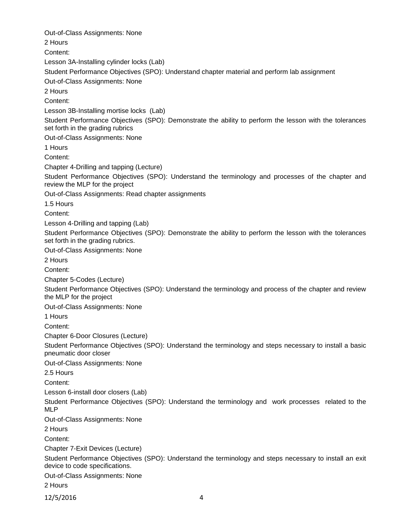Out-of-Class Assignments: None 2 Hours Content: Lesson 3A-Installing cylinder locks (Lab) Student Performance Objectives (SPO): Understand chapter material and perform lab assignment Out-of-Class Assignments: None 2 Hours Content: Lesson 3B-Installing mortise locks (Lab) Student Performance Objectives (SPO): Demonstrate the ability to perform the lesson with the tolerances set forth in the grading rubrics Out-of-Class Assignments: None 1 Hours Content: Chapter 4-Drilling and tapping (Lecture) Student Performance Objectives (SPO): Understand the terminology and processes of the chapter and review the MLP for the project Out-of-Class Assignments: Read chapter assignments 1.5 Hours Content: Lesson 4-Drilling and tapping (Lab) Student Performance Objectives (SPO): Demonstrate the ability to perform the lesson with the tolerances set forth in the grading rubrics. Out-of-Class Assignments: None 2 Hours Content: Chapter 5-Codes (Lecture) Student Performance Objectives (SPO): Understand the terminology and process of the chapter and review the MLP for the project Out-of-Class Assignments: None 1 Hours Content: Chapter 6-Door Closures (Lecture) Student Performance Objectives (SPO): Understand the terminology and steps necessary to install a basic pneumatic door closer Out-of-Class Assignments: None 2.5 Hours Content: Lesson 6-install door closers (Lab) Student Performance Objectives (SPO): Understand the terminology and work processes related to the MLP Out-of-Class Assignments: None 2 Hours Content: Chapter 7-Exit Devices (Lecture) Student Performance Objectives (SPO): Understand the terminology and steps necessary to install an exit device to code specifications. Out-of-Class Assignments: None 2 Hours

12/5/2016 4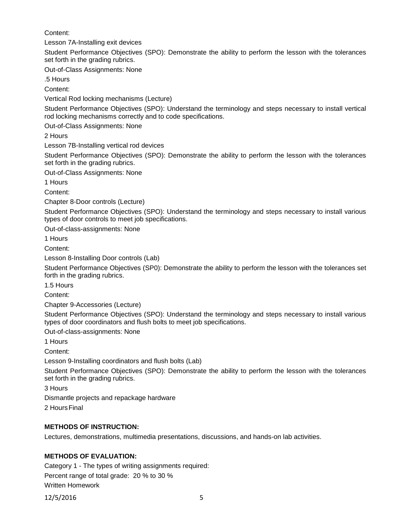Content:

Lesson 7A-Installing exit devices

Student Performance Objectives (SPO): Demonstrate the ability to perform the lesson with the tolerances set forth in the grading rubrics.

Out-of-Class Assignments: None

.5 Hours

Content:

Vertical Rod locking mechanisms (Lecture)

Student Performance Objectives (SPO): Understand the terminology and steps necessary to install vertical rod locking mechanisms correctly and to code specifications.

Out-of-Class Assignments: None

2 Hours

Lesson 7B-Installing vertical rod devices

Student Performance Objectives (SPO): Demonstrate the ability to perform the lesson with the tolerances set forth in the grading rubrics.

Out-of-Class Assignments: None

1 Hours

Content:

Chapter 8-Door controls (Lecture)

Student Performance Objectives (SPO): Understand the terminology and steps necessary to install various types of door controls to meet job specifications.

Out-of-class-assignments: None

1 Hours

Content:

Lesson 8-Installing Door controls (Lab)

Student Performance Objectives (SP0): Demonstrate the ability to perform the lesson with the tolerances set forth in the grading rubrics.

1.5 Hours

Content:

Chapter 9-Accessories (Lecture)

Student Performance Objectives (SPO): Understand the terminology and steps necessary to install various types of door coordinators and flush bolts to meet job specifications.

Out-of-class-assignments: None

1 Hours

Content:

Lesson 9-Installing coordinators and flush bolts (Lab)

Student Performance Objectives (SPO): Demonstrate the ability to perform the lesson with the tolerances set forth in the grading rubrics.

3 Hours

Dismantle projects and repackage hardware

2 HoursFinal

### **METHODS OF INSTRUCTION:**

Lectures, demonstrations, multimedia presentations, discussions, and hands-on lab activities.

### **METHODS OF EVALUATION:**

Category 1 - The types of writing assignments required: Percent range of total grade: 20 % to 30 % Written Homework

12/5/2016 5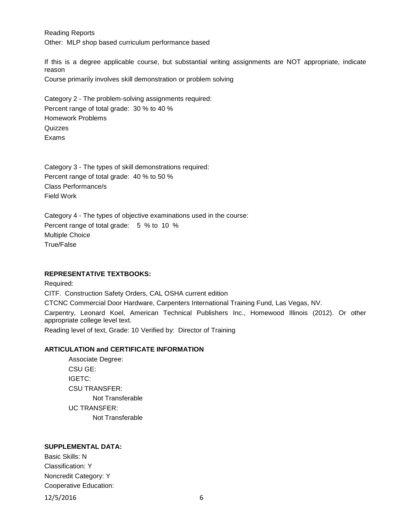Reading Reports Other: MLP shop based curriculum performance based

If this is a degree applicable course, but substantial writing assignments are NOT appropriate, indicate reason Course primarily involves skill demonstration or problem solving

Category 2 - The problem-solving assignments required: Percent range of total grade: 30 % to 40 % Homework Problems **Quizzes** Exams

Category 3 - The types of skill demonstrations required: Percent range of total grade: 40 % to 50 % Class Performance/s Field Work

Category 4 - The types of objective examinations used in the course: Percent range of total grade: 5 % to 10 % Multiple Choice True/False

### **REPRESENTATIVE TEXTBOOKS:**

Required: CITF. Construction Safety Orders, CAL OSHA current edition CTCNC Commercial Door Hardware, Carpenters International Training Fund, Las Vegas, NV. Carpentry, Leonard Koel, American Technical Publishers Inc., Homewood Illinois (2012). Or other appropriate college level text. Reading level of text, Grade: 10 Verified by: Director of Training

### **ARTICULATION and CERTIFICATE INFORMATION**

Associate Degree: CSU GE: IGETC: CSU TRANSFER: Not Transferable UC TRANSFER: Not Transferable

# **SUPPLEMENTAL DATA:**

Basic Skills: N Classification: Y Noncredit Category: Y Cooperative Education:

12/5/2016 6